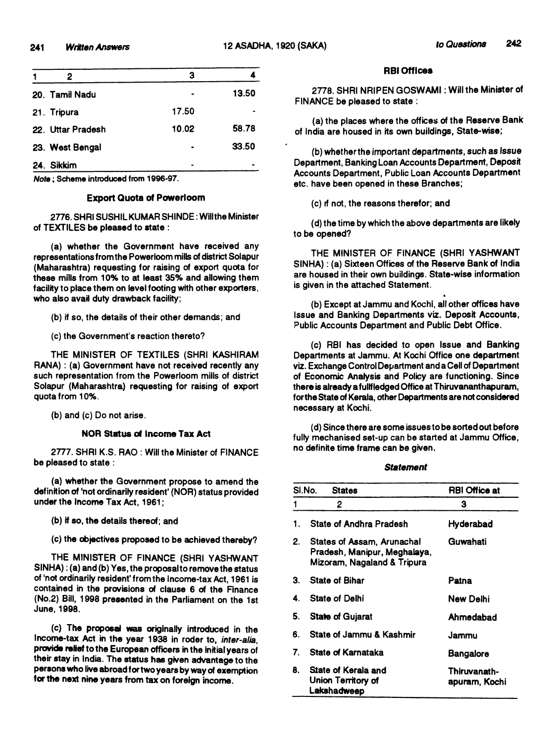| 2                 | з     |       |
|-------------------|-------|-------|
| 20. Tamil Nadu    |       | 13.50 |
| 21. Tripura       | 17.50 |       |
| 22. Uttar Pradesh | 10.02 | 58.78 |
| 23. West Bengal   |       | 33.50 |
| 24. Sikkim        |       |       |
|                   |       |       |

*Note***; Scheme introduced from 1996-97.**

#### **Export Quota of Powerloom**

**2776. SHRISUSHIL KUMAR SHINDE: Wlllthe Minister of TEXTILES be pleased to state :**

**(a) whether the Government have received any representations from the Powerloom mills of district Solapur (Maharashtra) requesting for raising of export quota for these mills from 10% to at least 35% and allowing them facility to place them on level footing with other exporters,** who also avail duty drawback facility;

**(b) if so, the details of their other demands; and**

**(c) the Government's reaction thereto?**

**THE MINISTER OF TEXTILES (SHRI KASHIRAM RANA): (a) Government have not received recently any such representation from the Powerloom mills of district Solapur (Maharashtra) requesting for raising of export quota from 10%.**

**(b) and (c) Do not arise.**

## **NOR Status of Income Tax Act**

**2777. SHRI K.S. RAO : Will the Minister of FINANCE be pleased to state :**

**(a) whether the Government propose to amend the definition of 'not ordinarily resident' (NOR) status provided under the Income Tax Act, 1961;**

**(b) if so. the details thereof; and**

**(c) the objectives proposed to be achieved thereby?**

**THE MINISTER OF FINANCE (SHRI YASHWANT SINHA); (a) and (b) Yes, the proposal to remove the status of 'not ordinarily resident'from the Income-tax Act, 1961 is contained in the provisions of clause 6 of the Finance (No.2) Bill, 1998 presented in the Parliament on the 1st June, 1998.**

**(c) The proposal was originally Introduced in the Income-tax Act in the year 1938 in roder to,** *inter-alia,* provide relief to the European officers in the initial years of **their stay in India. The status has given advantage to the persons who live abroad for two years by way of exemption for the next nine years from tax on foreign income.**

### **RBI Offices**

**2778. SHRI NRIPEN GOSWAMI: Will the Minister of FINANCE be pleased to state :**

**(a) the places where the offices of the Reserve Bank of India are housed in its own buildings, State-wise;**

**(b) whether the important departments,** *such as Issue* **Department, Banking Loan Accounts Department, Deposit Accounts Department, Public Loan Accounts Department etc. have been opened in these Branches;**

**(c) if not, the reasons therefor; and**

**(d) the time by which the above departments are likely to be opened?**

**THE MINISTER OF FINANCE (SHRI YASHWANT** SINHA): (a) Sixteen Offices of the Reserve Bank of India **are housed in their own buildings. State-wise information is given in the attached Statement.**

**(b) Except at Jammu and Kochi, all other offices have Issue and Banking Departments viz. Deposit Accounts, Public Accounts Department and Public Debt Office.**

**(c) RBI has decided to open Issue and Banking Departments at Jammu. At Kochi Office one department viz. Exchange Control Department and a Cell of Department** of Economic Analysis and Policy are functioning. Since **there is already a fullfledged Offk:e at Thiruvananthapuram, for the State of Kerala, other Departments are not considered necessary at Kochi.**

**(d) Since there are some issues to be sorted out before fully mechanised set-up can be started at Jammu Office, no definite time frame can be given.**

#### *Statement*

| SI.No.<br><b>States</b> |                                                                                           | <b>RBI Office at</b>          |  |
|-------------------------|-------------------------------------------------------------------------------------------|-------------------------------|--|
|                         | 2                                                                                         | З.                            |  |
| 1.                      | State of Andhra Pradesh                                                                   | Hyderabad                     |  |
| 2.                      | States of Assam, Arunachal<br>Pradesh, Manipur, Meghalaya,<br>Mizoram, Nagaland & Tripura | Guwahati                      |  |
| З.                      | <b>State of Bihar</b>                                                                     | Patna                         |  |
| 4.                      | <b>State of Delhi</b>                                                                     | New Delhi                     |  |
| 5.                      | <b>State of Gujarat</b>                                                                   | Ahmedabad                     |  |
| 6.                      | State of Jammu & Kashmir                                                                  | Jammu                         |  |
| 7.                      | State of Karnataka                                                                        | Bangalore                     |  |
| 8.                      | State of Kerala and<br>Union Territory of<br>Lakshadweep                                  | Thiruvanath-<br>apuram, Kochi |  |